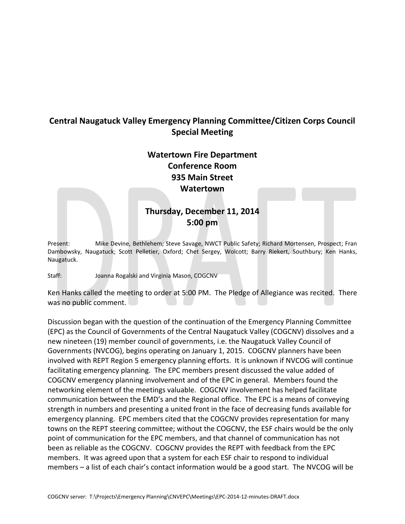## **Central Naugatuck Valley Emergency Planning Committee/Citizen Corps Council Special Meeting**

**Watertown Fire Department Conference Room 935 Main Street Watertown**

## **Thursday, December 11, 2014 5:00 pm**

Present: Mike Devine, Bethlehem; Steve Savage, NWCT Public Safety; Richard Mortensen, Prospect; Fran Dambowsky, Naugatuck; Scott Pelletier, Oxford; Chet Sergey, Wolcott; Barry Riekert, Southbury; Ken Hanks, Naugatuck.

Staff: Joanna Rogalski and Virginia Mason, COGCNV

Ken Hanks called the meeting to order at 5:00 PM. The Pledge of Allegiance was recited. There was no public comment.

Discussion began with the question of the continuation of the Emergency Planning Committee (EPC) as the Council of Governments of the Central Naugatuck Valley (COGCNV) dissolves and a new nineteen (19) member council of governments, i.e. the Naugatuck Valley Council of Governments (NVCOG), begins operating on January 1, 2015. COGCNV planners have been involved with REPT Region 5 emergency planning efforts. It is unknown if NVCOG will continue facilitating emergency planning. The EPC members present discussed the value added of COGCNV emergency planning involvement and of the EPC in general. Members found the networking element of the meetings valuable. COGCNV involvement has helped facilitate communication between the EMD's and the Regional office. The EPC is a means of conveying strength in numbers and presenting a united front in the face of decreasing funds available for emergency planning. EPC members cited that the COGCNV provides representation for many towns on the REPT steering committee; without the COGCNV, the ESF chairs would be the only point of communication for the EPC members, and that channel of communication has not been as reliable as the COGCNV. COGCNV provides the REPT with feedback from the EPC members. It was agreed upon that a system for each ESF chair to respond to individual members – a list of each chair's contact information would be a good start. The NVCOG will be